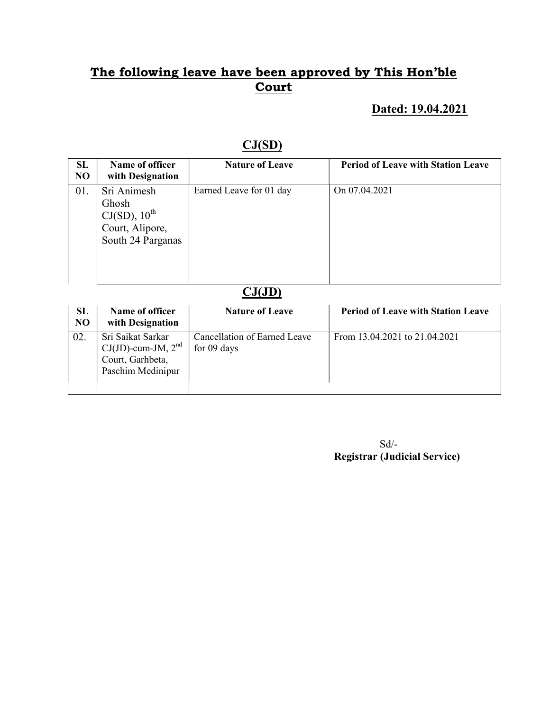#### Dated: 19.04.2021

## CJ(SD)

| SL<br>N <sub>O</sub> | Name of officer<br>with Designation                                                  | <b>Nature of Leave</b>  | <b>Period of Leave with Station Leave</b> |
|----------------------|--------------------------------------------------------------------------------------|-------------------------|-------------------------------------------|
| 01.                  | Sri Animesh<br>Ghosh<br>$CJ(SD)$ , $10^{th}$<br>Court, Alipore,<br>South 24 Parganas | Earned Leave for 01 day | On 07.04.2021                             |

## $CJ(JD)$

| SL<br>N <sub>O</sub> | Name of officer<br>with Designation                                                   | <b>Nature of Leave</b>                      | <b>Period of Leave with Station Leave</b> |
|----------------------|---------------------------------------------------------------------------------------|---------------------------------------------|-------------------------------------------|
| 02.                  | Sri Saikat Sarkar<br>$CJ(JD)$ -cum-JM, $2nd$<br>Court, Garhbeta,<br>Paschim Medinipur | Cancellation of Earned Leave<br>for 09 days | From 13.04.2021 to 21.04.2021             |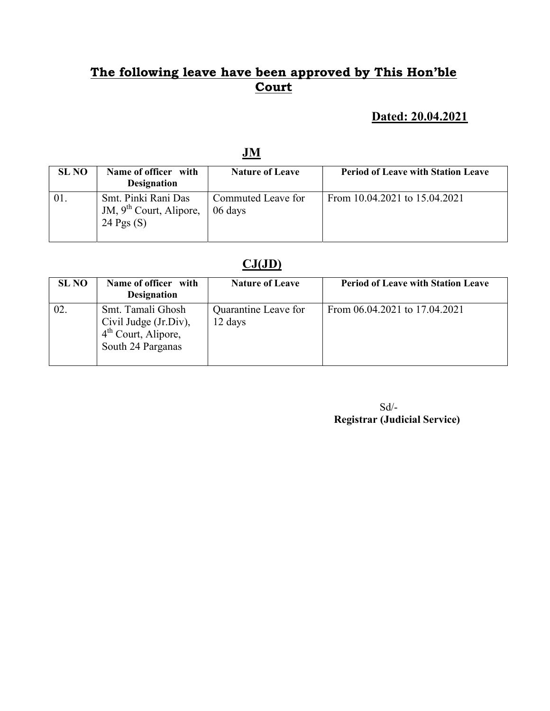# Dated: 20.04.2021

| <b>SL NO</b> | Name of officer with                                             | <b>Nature of Leave</b>        | <b>Period of Leave with Station Leave</b> |
|--------------|------------------------------------------------------------------|-------------------------------|-------------------------------------------|
|              | <b>Designation</b>                                               |                               |                                           |
|              | Smt. Pinki Rani Das<br>JM, $9th$ Court, Alipore,<br>24 Pgs $(S)$ | Commuted Leave for<br>06 days | From 10.04.2021 to 15.04.2021             |

### $CJ(JD)$

| <b>SL NO</b> | Name of officer with<br><b>Designation</b>                                                         | <b>Nature of Leave</b>          | <b>Period of Leave with Station Leave</b> |
|--------------|----------------------------------------------------------------------------------------------------|---------------------------------|-------------------------------------------|
| 02.          | Smt. Tamali Ghosh<br>Civil Judge (Jr.Div),<br>4 <sup>th</sup> Court, Alipore,<br>South 24 Parganas | Quarantine Leave for<br>12 days | From 06.04.2021 to 17.04.2021             |

 Sd/- Registrar (Judicial Service)

# JM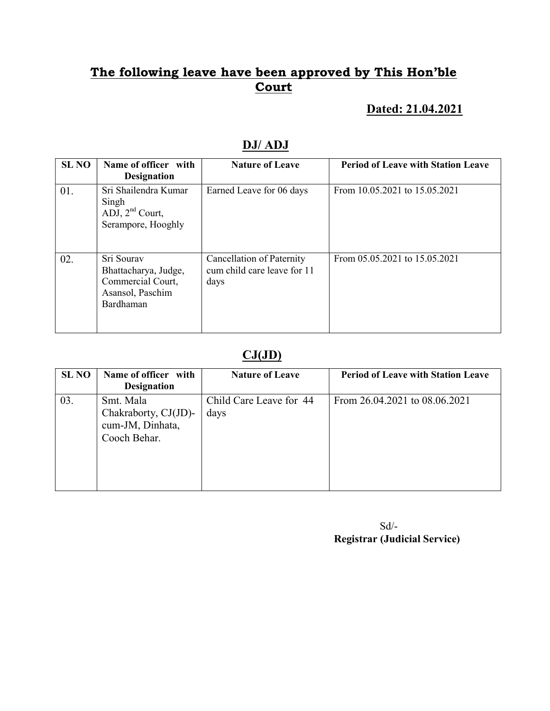#### Dated: 21.04.2021

| <b>SL NO</b> | Name of officer with<br><b>Designation</b>                                               | <b>Nature of Leave</b>                                           | <b>Period of Leave with Station Leave</b> |
|--------------|------------------------------------------------------------------------------------------|------------------------------------------------------------------|-------------------------------------------|
| 01.          | Sri Shailendra Kumar<br>Singh<br>ADJ, $2nd$ Court,<br>Serampore, Hooghly                 | Earned Leave for 06 days                                         | From 10.05.2021 to 15.05.2021             |
| 02.          | Sri Sourav<br>Bhattacharya, Judge,<br>Commercial Court,<br>Asansol, Paschim<br>Bardhaman | Cancellation of Paternity<br>cum child care leave for 11<br>days | From 05.05.2021 to 15.05.2021             |

# DJ/ ADJ

#### $CJ(JD)$

| <b>SL NO</b> | Name of officer with<br><b>Designation</b>                            | <b>Nature of Leave</b>          | <b>Period of Leave with Station Leave</b> |
|--------------|-----------------------------------------------------------------------|---------------------------------|-------------------------------------------|
| 03.          | Smt. Mala<br>Chakraborty, CJ(JD)-<br>cum-JM, Dinhata,<br>Cooch Behar. | Child Care Leave for 44<br>days | From 26.04.2021 to 08.06.2021             |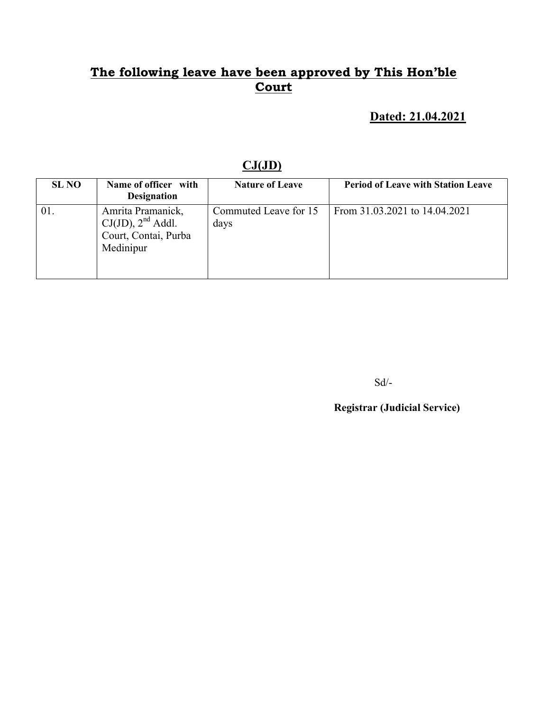# Dated: 21.04.2021

### $CJ(JD)$

| <b>SL NO</b> | Name of officer with<br><b>Designation</b>                                       | <b>Nature of Leave</b>        | <b>Period of Leave with Station Leave</b> |
|--------------|----------------------------------------------------------------------------------|-------------------------------|-------------------------------------------|
|              | Amrita Pramanick,<br>$CJ(JD)$ , $2nd$ Addl.<br>Court, Contai, Purba<br>Medinipur | Commuted Leave for 15<br>days | From 31.03.2021 to 14.04.2021             |

Sd/-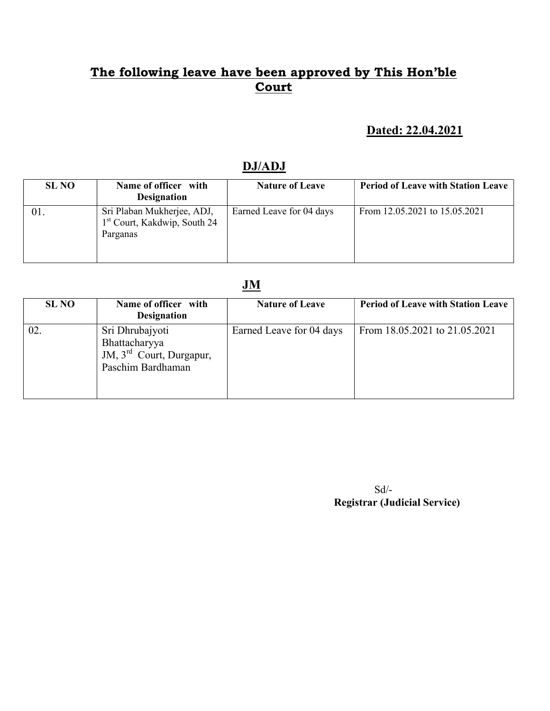#### Dated: 22.04.2021

#### DJ/ADJ

| <b>SL NO</b> | Name of officer with<br><b>Designation</b>                                         | <b>Nature of Leave</b>   | <b>Period of Leave with Station Leave</b> |
|--------------|------------------------------------------------------------------------------------|--------------------------|-------------------------------------------|
| 01.          | Sri Plaban Mukherjee, ADJ,<br>1 <sup>st</sup> Court, Kakdwip, South 24<br>Parganas | Earned Leave for 04 days | From 12.05.2021 to 15.05.2021             |

#### JM

| <b>SL NO</b> | Name of officer with<br><b>Designation</b>                                                    | <b>Nature of Leave</b>   | <b>Period of Leave with Station Leave</b> |
|--------------|-----------------------------------------------------------------------------------------------|--------------------------|-------------------------------------------|
| 02.          | Sri Dhrubajyoti<br>Bhattacharyya<br>JM, $3^{\text{rd}}$ Court, Durgapur,<br>Paschim Bardhaman | Earned Leave for 04 days | From 18.05.2021 to 21.05.2021             |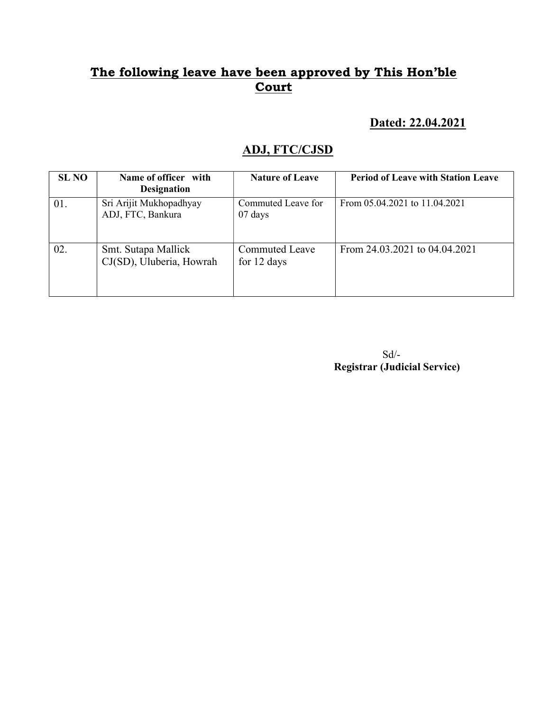#### Dated: 22.04.2021

# ADJ, FTC/CJSD

| <b>SL NO</b> | Name of officer with<br><b>Designation</b>      | <b>Nature of Leave</b>                  | <b>Period of Leave with Station Leave</b> |
|--------------|-------------------------------------------------|-----------------------------------------|-------------------------------------------|
| 01.          | Sri Arijit Mukhopadhyay<br>ADJ, FTC, Bankura    | Commuted Leave for<br>$07 \text{ days}$ | From 05.04.2021 to 11.04.2021             |
| 02.          | Smt. Sutapa Mallick<br>CJ(SD), Uluberia, Howrah | <b>Commuted Leave</b><br>for 12 days    | From 24.03.2021 to 04.04.2021             |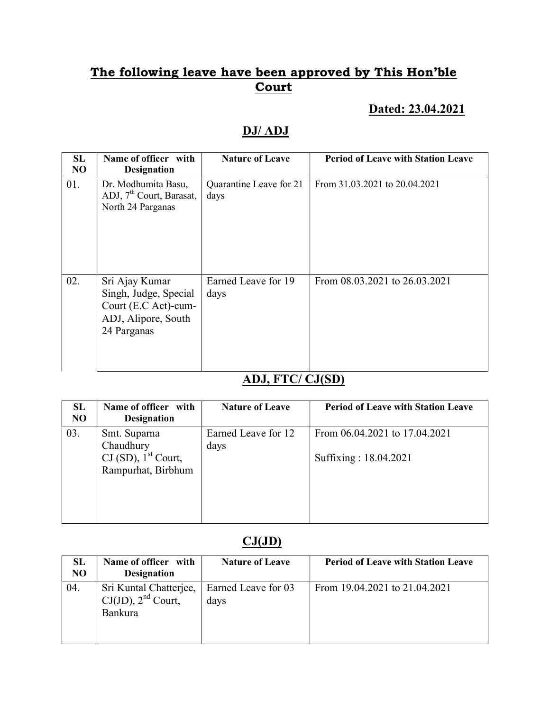#### Dated: 23.04.2021

# DJ/ ADJ

| <b>SL</b><br>N <sub>O</sub> | Name of officer with<br><b>Designation</b>                                                            | <b>Nature of Leave</b>          | <b>Period of Leave with Station Leave</b> |
|-----------------------------|-------------------------------------------------------------------------------------------------------|---------------------------------|-------------------------------------------|
| 01.                         | Dr. Modhumita Basu,<br>ADJ, 7 <sup>th</sup> Court, Barasat,<br>North 24 Parganas                      | Quarantine Leave for 21<br>days | From 31.03.2021 to 20.04.2021             |
| 02.                         | Sri Ajay Kumar<br>Singh, Judge, Special<br>Court (E.C Act)-cum-<br>ADJ, Alipore, South<br>24 Parganas | Earned Leave for 19<br>days     | From 08.03.2021 to 26.03.2021             |

#### ADJ, FTC/ CJ(SD)

| SL<br>N <sub>O</sub> | Name of officer with<br><b>Designation</b>  | <b>Nature of Leave</b> | <b>Period of Leave with Station Leave</b> |
|----------------------|---------------------------------------------|------------------------|-------------------------------------------|
| 03.                  | Smt. Suparna<br>Chaudhury                   | Earned Leave for 12    | From 06.04.2021 to 17.04.2021             |
|                      | CJ (SD), $1st$ Court,<br>Rampurhat, Birbhum | days                   | Suffixing: 18.04.2021                     |

### $CJ(JD)$

| <b>SL</b><br>N <sub>O</sub> | Name of officer with<br><b>Designation</b>                          | <b>Nature of Leave</b>      | <b>Period of Leave with Station Leave</b> |
|-----------------------------|---------------------------------------------------------------------|-----------------------------|-------------------------------------------|
| 04.                         | Sri Kuntal Chatterjee,<br>$CJ(JD)$ , $2nd$ Court,<br><b>Bankura</b> | Earned Leave for 03<br>days | From 19.04.2021 to 21.04.2021             |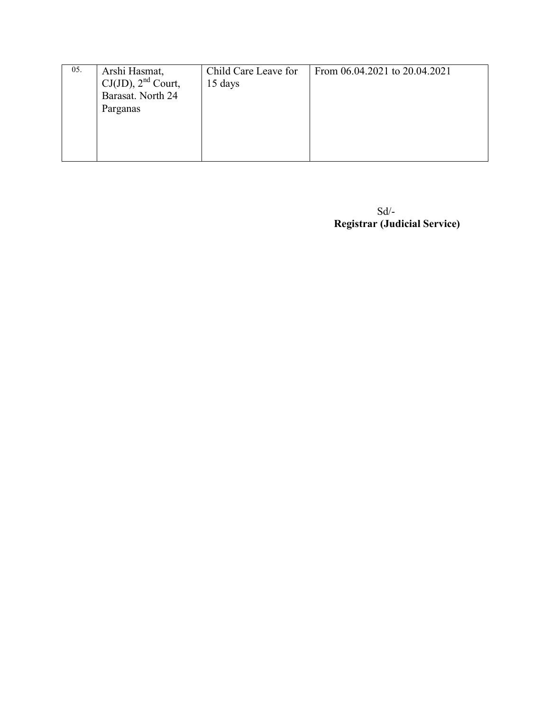| 05. | Arshi Hasmat,           | Child Care Leave for | From 06.04.2021 to 20.04.2021 |
|-----|-------------------------|----------------------|-------------------------------|
|     | $CJ(JD)$ , $2nd$ Court, | 15 days              |                               |
|     | Barasat. North 24       |                      |                               |
|     | Parganas                |                      |                               |
|     |                         |                      |                               |
|     |                         |                      |                               |
|     |                         |                      |                               |
|     |                         |                      |                               |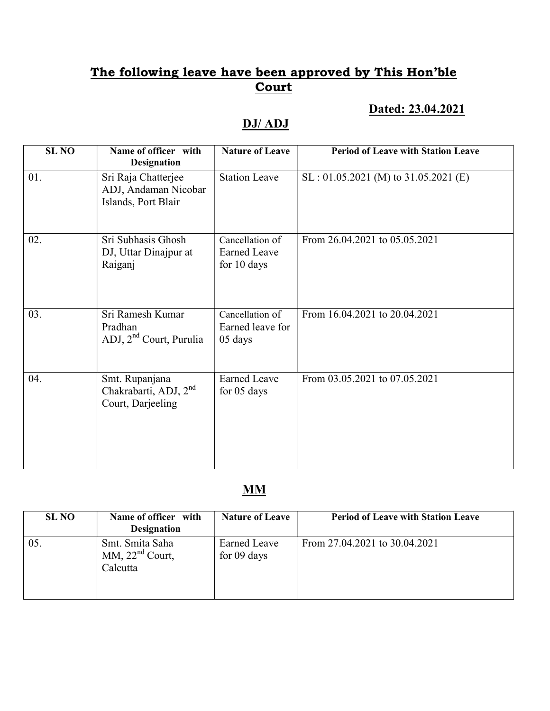#### Dated: 23.04.2021

# DJ/ ADJ

| <b>SL NO</b> | Name of officer with<br><b>Designation</b>                               | <b>Nature of Leave</b>                                | <b>Period of Leave with Station Leave</b> |
|--------------|--------------------------------------------------------------------------|-------------------------------------------------------|-------------------------------------------|
| 01.          | Sri Raja Chatterjee<br>ADJ, Andaman Nicobar<br>Islands, Port Blair       | <b>Station Leave</b>                                  | $SL: 01.05.2021$ (M) to 31.05.2021 (E)    |
| 02.          | Sri Subhasis Ghosh<br>DJ, Uttar Dinajpur at<br>Raiganj                   | Cancellation of<br><b>Earned Leave</b><br>for 10 days | From 26.04.2021 to 05.05.2021             |
| 03.          | Sri Ramesh Kumar<br>Pradhan<br>ADJ, 2 <sup>nd</sup> Court, Purulia       | Cancellation of<br>Earned leave for<br>05 days        | From 16.04.2021 to 20.04.2021             |
| 04.          | Smt. Rupanjana<br>Chakrabarti, ADJ, 2 <sup>nd</sup><br>Court, Darjeeling | <b>Earned Leave</b><br>for 05 days                    | From 03.05.2021 to 07.05.2021             |

#### MM

| <b>SL NO</b> | Name of officer with<br><b>Designation</b>       | <b>Nature of Leave</b>               | <b>Period of Leave with Station Leave</b> |
|--------------|--------------------------------------------------|--------------------------------------|-------------------------------------------|
| 05.          | Smt. Smita Saha<br>MM, $22nd$ Court,<br>Calcutta | <b>Earned Leave</b><br>for $09$ days | From 27.04.2021 to 30.04.2021             |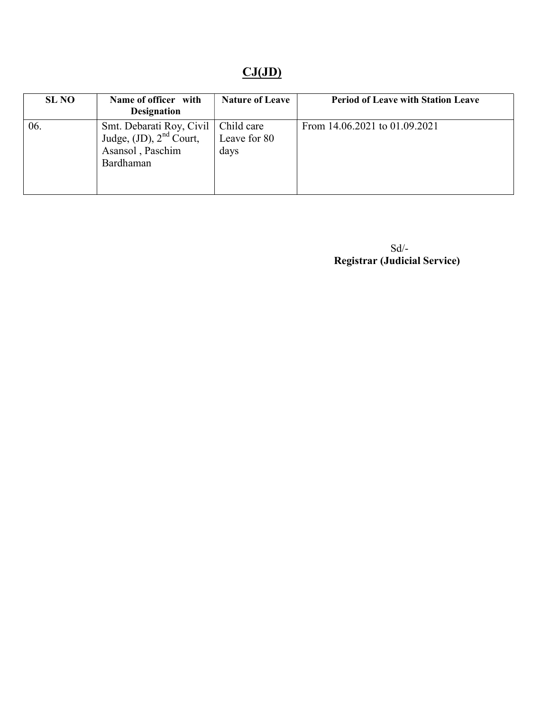# $CJ(JD)$

| <b>SL NO</b> | Name of officer with<br><b>Designation</b>                                                | <b>Nature of Leave</b>             | <b>Period of Leave with Station Leave</b> |
|--------------|-------------------------------------------------------------------------------------------|------------------------------------|-------------------------------------------|
| 06.          | Smt. Debarati Roy, Civil<br>Judge, $(JD)$ , $2nd$ Court,<br>Asansol, Paschim<br>Bardhaman | Child care<br>Leave for 80<br>days | From 14.06.2021 to 01.09.2021             |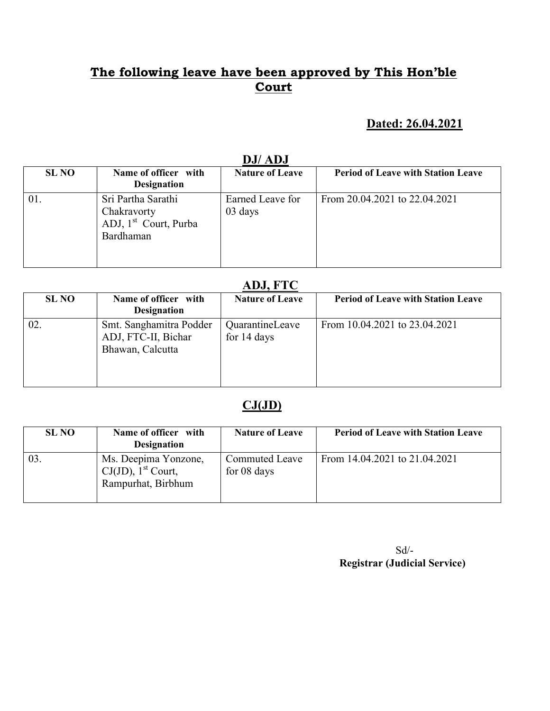#### Dated: 26.04.2021

| <i>DJI ADJ</i> |                                                                                     |                             |                                           |  |
|----------------|-------------------------------------------------------------------------------------|-----------------------------|-------------------------------------------|--|
| <b>SL NO</b>   | Name of officer with<br><b>Designation</b>                                          | <b>Nature of Leave</b>      | <b>Period of Leave with Station Leave</b> |  |
| 01.            | Sri Partha Sarathi<br>Chakravorty<br>ADJ, 1 <sup>st</sup> Court, Purba<br>Bardhaman | Earned Leave for<br>03 days | From 20.04.2021 to 22.04.2021             |  |

## DJ/ ADJ

#### ADJ, FTC

| 11001110     |                                                                    |                                |                                           |  |
|--------------|--------------------------------------------------------------------|--------------------------------|-------------------------------------------|--|
| <b>SL NO</b> | Name of officer with<br><b>Designation</b>                         | <b>Nature of Leave</b>         | <b>Period of Leave with Station Leave</b> |  |
| 02.          | Smt. Sanghamitra Podder<br>ADJ, FTC-II, Bichar<br>Bhawan, Calcutta | QuarantineLeave<br>for 14 days | From 10.04.2021 to 23.04.2021             |  |

### $CJ(JD)$

| <b>SL NO</b> | Name of officer with<br><b>Designation</b>                                      | <b>Nature of Leave</b>                 | <b>Period of Leave with Station Leave</b> |
|--------------|---------------------------------------------------------------------------------|----------------------------------------|-------------------------------------------|
| 03.          | Ms. Deepima Yonzone,<br>$CJ(JD)$ , 1 <sup>st</sup> Court,<br>Rampurhat, Birbhum | <b>Commuted Leave</b><br>for $08$ days | From 14.04.2021 to 21.04.2021             |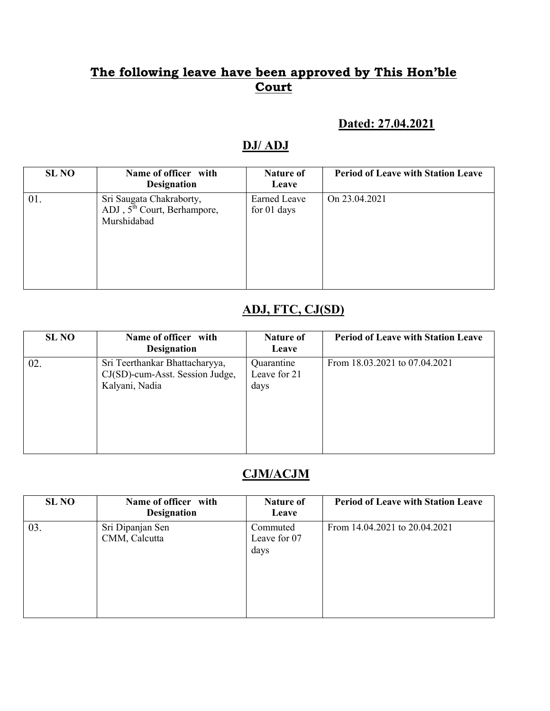#### Dated: 27.04.2021

#### DJ/ ADJ

| <b>SL NO</b> | Name of officer with<br><b>Designation</b>                               | <b>Nature of</b><br>Leave          | <b>Period of Leave with Station Leave</b> |
|--------------|--------------------------------------------------------------------------|------------------------------------|-------------------------------------------|
| 01.          | Sri Saugata Chakraborty,<br>ADJ, $5th$ Court, Berhampore,<br>Murshidabad | <b>Earned Leave</b><br>for 01 days | On 23.04.2021                             |

## ADJ, FTC, CJ(SD)

| <b>SL NO</b> | Name of officer with<br><b>Designation</b>                                          | Nature of<br>Leave                 | <b>Period of Leave with Station Leave</b> |
|--------------|-------------------------------------------------------------------------------------|------------------------------------|-------------------------------------------|
| 02.          | Sri Teerthankar Bhattacharyya,<br>CJ(SD)-cum-Asst. Session Judge,<br>Kalyani, Nadia | Quarantine<br>Leave for 21<br>days | From 18.03.2021 to 07.04.2021             |

### CJM/ACJM

| <b>SL NO</b> | Name of officer with<br><b>Designation</b> | <b>Nature of</b><br>Leave        | <b>Period of Leave with Station Leave</b> |
|--------------|--------------------------------------------|----------------------------------|-------------------------------------------|
| 03.          | Sri Dipanjan Sen<br>CMM, Calcutta          | Commuted<br>Leave for 07<br>days | From 14.04.2021 to 20.04.2021             |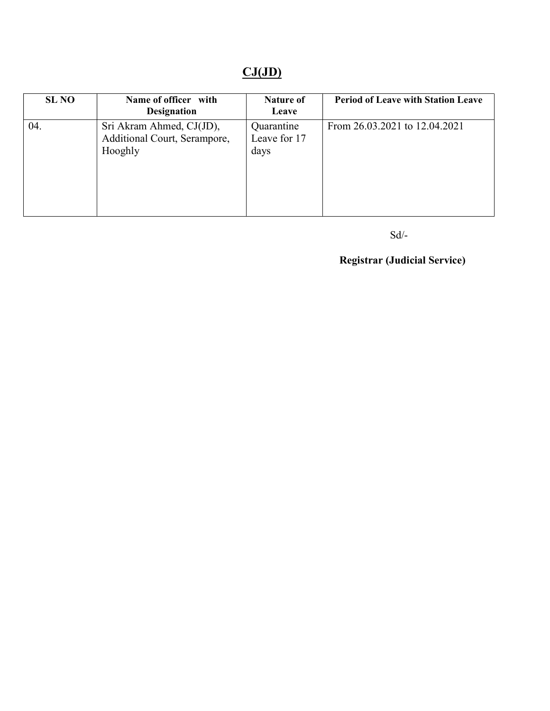# $CJ(JD)$

| <b>SL NO</b> | Name of officer with<br><b>Designation</b>                          | <b>Nature of</b><br>Leave          | <b>Period of Leave with Station Leave</b> |
|--------------|---------------------------------------------------------------------|------------------------------------|-------------------------------------------|
| 04.          | Sri Akram Ahmed, CJ(JD),<br>Additional Court, Serampore,<br>Hooghly | Quarantine<br>Leave for 17<br>days | From 26.03.2021 to 12.04.2021             |

#### Sd/-